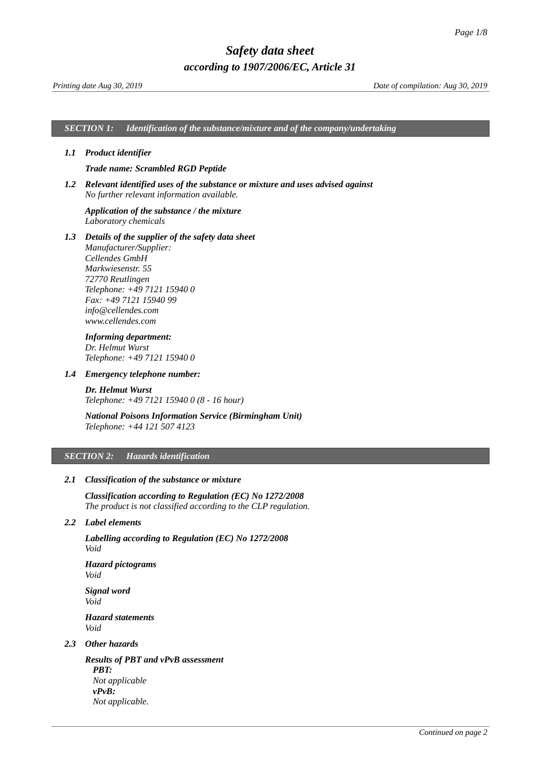*SECTION 1: Identification of the substance/mixture and of the company/undertaking*

### *1.1 Product identifier*

### <span id="page-0-0"></span>*Trade name: Scrambled RGD Peptide*

*1.2 Relevant identified uses of the substance or mixture and uses advised against No further relevant information available.*

### *Application of the substance / the mixture Laboratory chemicals*

*1.3 Details of the supplier of the safety data sheet Manufacturer/Supplier: Cellendes GmbH Markwiesenstr. 55 72770 Reutlingen Telephone: +49 7121 15940 0 Fax: +49 7121 15940 99 info@cellendes.com www.cellendes.com*

## *Informing department:*

*Dr. Helmut Wurst Telephone: +49 7121 15940 0*

### *1.4 Emergency telephone number:*

*Dr. Helmut Wurst Telephone: +49 7121 15940 0 (8 - 16 hour)*

# *National Poisons Information Service (Birmingham Unit) Telephone: +44 121 507 4123*

### *SECTION 2: Hazards identification*

### *2.1 Classification of the substance or mixture*

*Classification according to Regulation (EC) No 1272/2008 The product is not classified according to the CLP regulation.*

# *2.2 Label elements*

*Labelling according to Regulation (EC) No 1272/2008 Void*

*Hazard pictograms Void*

*Signal word Void Hazard statements Void*

# *2.3 Other hazards*

*Results of PBT and vPvB assessment PBT: Not applicable vPvB: Not applicable.*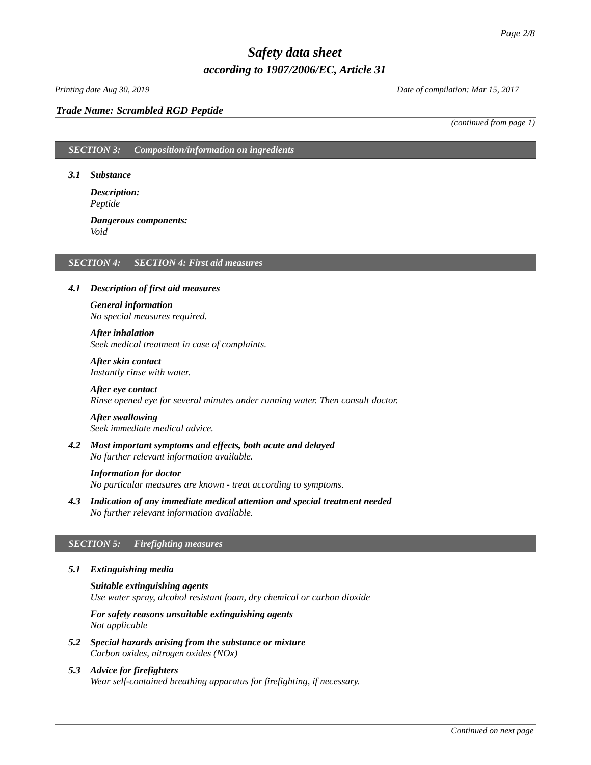# *Printing date Aug 30, 2019 Date of compilation: Mar 15, 2017*

### *Trade Name: [Scrambled RGD Peptide](#page-0-0)*

*(continued from page 1)*

*SECTION 3: Composition/information on ingredients*

### *3.1 Substance*

*Description: Peptide*

### *Dangerous components: Void*

### *SECTION 4: SECTION 4: First aid measures*

### *4.1 Description of first aid measures*

# *General information No special measures required.*

### *After inhalation*

*Seek medical treatment in case of complaints.*

### *After skin contact Instantly rinse with water.*

*After eye contact Rinse opened eye for several minutes under running water. Then consult doctor.*

# *After swallowing*

*Seek immediate medical advice.*

*4.2 Most important symptoms and effects, both acute and delayed No further relevant information available.*

### *Information for doctor*

*No particular measures are known - treat according to symptoms.*

*4.3 Indication of any immediate medical attention and special treatment needed No further relevant information available.*

### *SECTION 5: Firefighting measures*

### *5.1 Extinguishing media*

*Suitable extinguishing agents Use water spray, alcohol resistant foam, dry chemical or carbon dioxide*

*For safety reasons unsuitable extinguishing agents Not applicable*

- *5.2 Special hazards arising from the substance or mixture Carbon oxides, nitrogen oxides (NOx)*
- *5.3 Advice for firefighters Wear self-contained breathing apparatus for firefighting, if necessary.*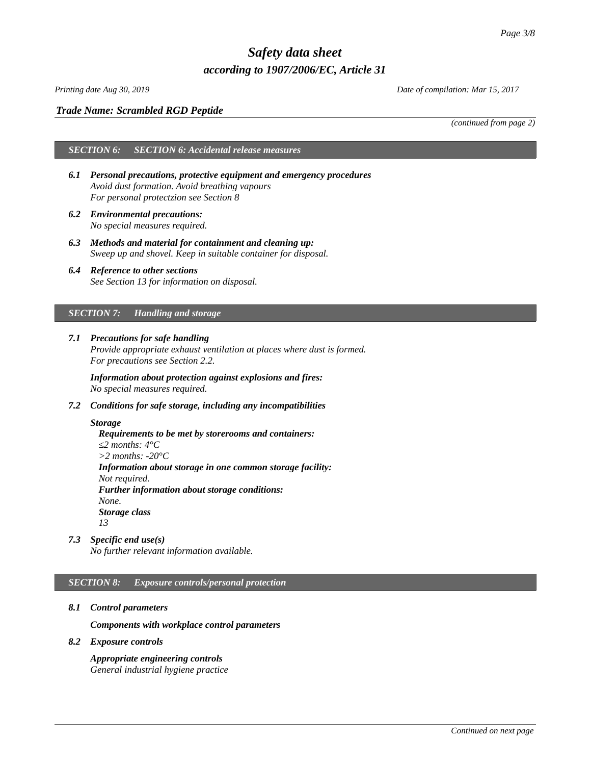## *Printing date Aug 30, 2019 Date of compilation: Mar 15, 2017*

# *Trade Name: [Scrambled RGD Peptide](#page-0-0)*

*(continued from page 2)*

# *SECTION 6: SECTION 6: Accidental release measures*

- *6.1 Personal precautions, protective equipment and emergency procedures Avoid dust formation. Avoid breathing vapours For personal protectzion see Section 8*
- *6.2 Environmental precautions: No special measures required.*
- *6.3 Methods and material for containment and cleaning up: Sweep up and shovel. Keep in suitable container for disposal.*
- *6.4 Reference to other sections See Section 13 for information on disposal.*

# *SECTION 7: Handling and storage*

*7.1 Precautions for safe handling Provide appropriate exhaust ventilation at places where dust is formed. For precautions see Section 2.2.*

*Information about protection against explosions and fires: No special measures required.*

*7.2 Conditions for safe storage, including any incompatibilities*

### *Storage*

*Requirements to be met by storerooms and containers: ≤2 months: 4°C >2 months: -20°C Information about storage in one common storage facility: Not required. Further information about storage conditions: None. Storage class 13*

*7.3 Specific end use(s)*

*No further relevant information available.*

# *SECTION 8: Exposure controls/personal protection*

*8.1 Control parameters*

*Components with workplace control parameters*

*8.2 Exposure controls*

*Appropriate engineering controls General industrial hygiene practice*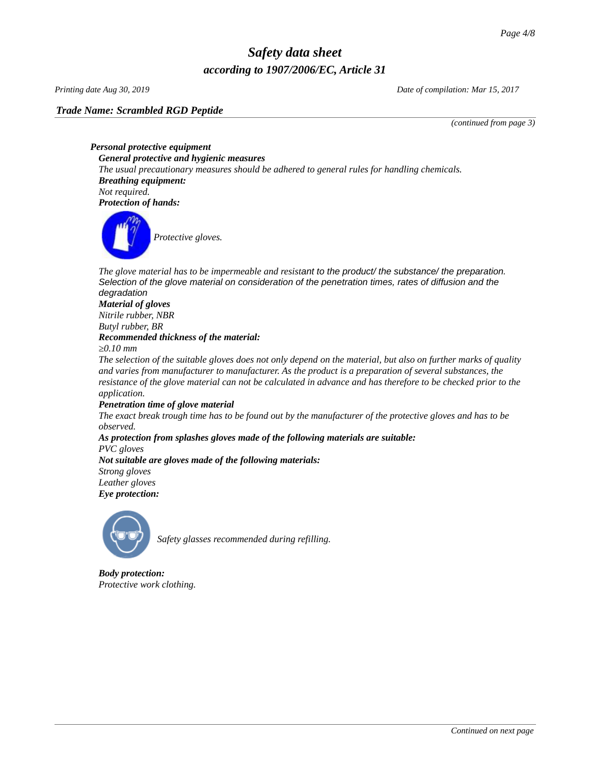*Trade Name: [Scrambled RGD Peptide](#page-0-0)*

*Printing date Aug 30, 2019 Date of compilation: Mar 15, 2017*

*(continued from page 3)*

*Personal protective equipment General protective and hygienic measures The usual precautionary measures should be adhered to general rules for handling chemicals. Breathing equipment: Not required. Protection of hands:*



*Protective gloves.*

The glove material has to be impermeable and resistant to the product/ the substance/ the preparation. *Selection of the glove material on consideration of the penetration times, rates of diffusion and the degradation*

## *Material of gloves Nitrile rubber, NBR Butyl rubber, BR Recommended thickness of the material:*

*≥0.10 mm*

*The selection of the suitable gloves does not only depend on the material, but also on further marks of quality and varies from manufacturer to manufacturer. As the product is a preparation of several substances, the resistance of the glove material can not be calculated in advance and has therefore to be checked prior to the application.*

# *Penetration time of glove material*

*The exact break trough time has to be found out by the manufacturer of the protective gloves and has to be observed.*

*As protection from splashes gloves made of the following materials are suitable: PVC gloves Not suitable are gloves made of the following materials:*

*Strong gloves Leather gloves*

*Eye protection:*



*Safety glasses recommended during refilling.*

*Body protection: Protective work clothing.*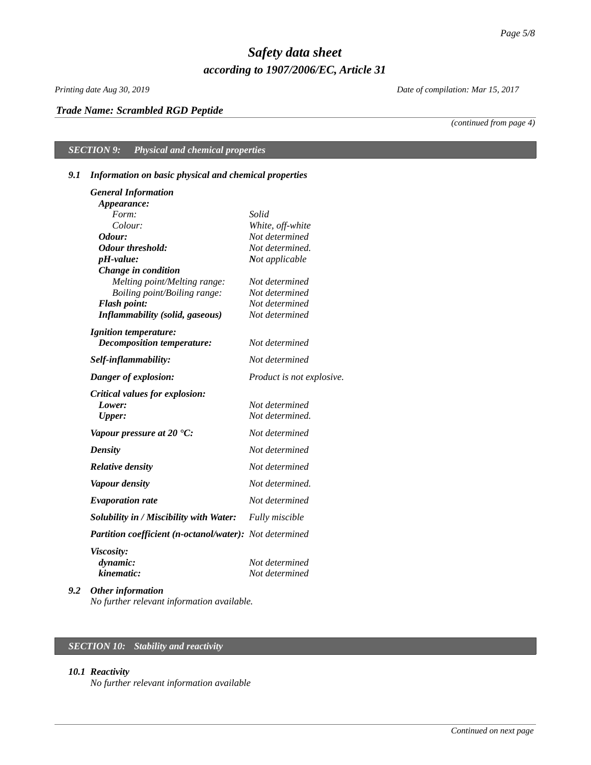# *Trade Name: [Scrambled RGD Peptide](#page-0-0)*

*Printing date Aug 30, 2019 Date of compilation: Mar 15, 2017*

*(continued from page 4)*

*SECTION 9: Physical and chemical properties*

# *9.1 Information on basic physical and chemical properties*

| <b>General Information</b>                              |                                  |
|---------------------------------------------------------|----------------------------------|
| Appearance:                                             |                                  |
| Form:                                                   | Solid                            |
| Colour:                                                 | White, off-white                 |
| Odour:                                                  | Not determined                   |
| <b>Odour threshold:</b>                                 | Not determined.                  |
| pH-value:                                               | Not applicable                   |
| Change in condition                                     |                                  |
| Melting point/Melting range:                            | Not determined                   |
| Boiling point/Boiling range:                            | Not determined                   |
| <b>Flash point:</b>                                     | Not determined<br>Not determined |
| <b>Inflammability (solid, gaseous)</b>                  |                                  |
| <b>Ignition temperature:</b>                            |                                  |
| <b>Decomposition temperature:</b>                       | Not determined                   |
| Self-inflammability:                                    | Not determined                   |
| Danger of explosion:                                    | Product is not explosive.        |
| Critical values for explosion:                          |                                  |
| Lower:                                                  | Not determined                   |
| <b>Upper:</b>                                           | Not determined.                  |
| Vapour pressure at 20 $^{\circ}$ C:                     | Not determined                   |
| <b>Density</b>                                          | Not determined                   |
| <b>Relative density</b>                                 | Not determined                   |
| <b>Vapour density</b>                                   | Not determined.                  |
| <b>Evaporation rate</b>                                 | Not determined                   |
| Solubility in / Miscibility with Water:                 | <b>Fully miscible</b>            |
| Partition coefficient (n-octanol/water): Not determined |                                  |
| <b>Viscosity:</b>                                       |                                  |
| dynamic:                                                | Not determined                   |
| kinematic:                                              | Not determined                   |
|                                                         |                                  |

*9.2 Other information No further relevant information available.*

# *SECTION 10: Stability and reactivity*

### *10.1 Reactivity*

*No further relevant information available*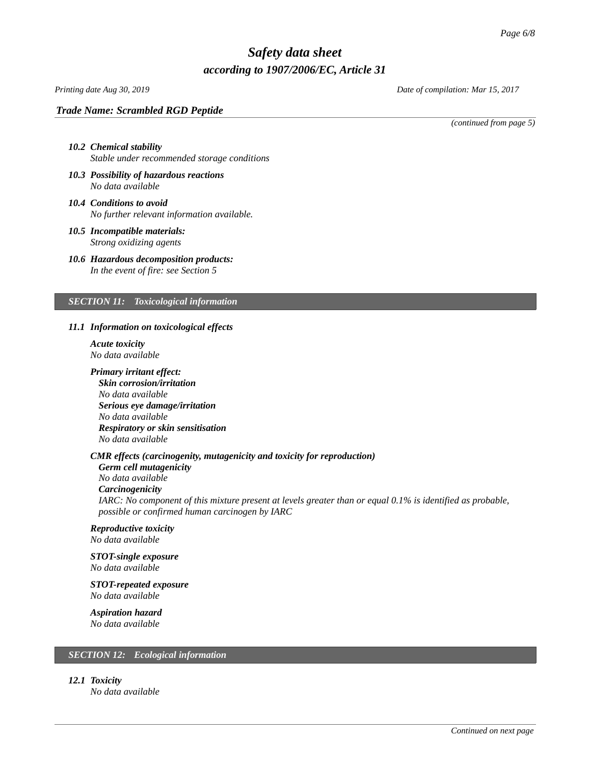# *Printing date Aug 30, 2019 Date of compilation: Mar 15, 2017*

### *Trade Name: [Scrambled RGD Peptide](#page-0-0)*

*(continued from page 5)*

# *10.2 Chemical stability Stable under recommended storage conditions*

- *10.3 Possibility of hazardous reactions No data available*
- *10.4 Conditions to avoid No further relevant information available.*
- *10.5 Incompatible materials: Strong oxidizing agents*
- *10.6 Hazardous decomposition products: In the event of fire: see Section 5*

### *SECTION 11: Toxicological information*

### *11.1 Information on toxicological effects*

- *Acute toxicity No data available*
- *Primary irritant effect: Skin corrosion/irritation No data available Serious eye damage/irritation No data available Respiratory or skin sensitisation No data available*

### *CMR effects (carcinogenity, mutagenicity and toxicity for reproduction)*

*Germ cell mutagenicity No data available Carcinogenicity IARC: No component of this mixture present at levels greater than or equal 0.1% is identified as probable, possible or confirmed human carcinogen by IARC*

# *Reproductive toxicity*

*No data available*

### *STOT-single exposure No data available*

*STOT-repeated exposure*

*No data available*

# *Aspiration hazard*

*No data available*

# *SECTION 12: Ecological information*

*12.1 Toxicity*

*No data available*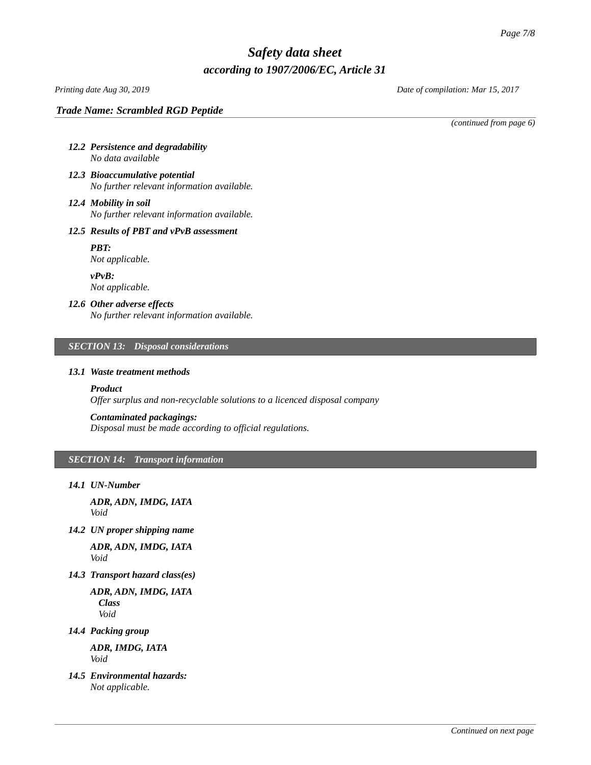*Printing date Aug 30, 2019 Date of compilation: Mar 15, 2017*

*Trade Name: [Scrambled RGD Peptide](#page-0-0)*

*(continued from page 6)*

- *12.2 Persistence and degradability No data available*
- *12.3 Bioaccumulative potential No further relevant information available.*
- *12.4 Mobility in soil No further relevant information available.*

# *12.5 Results of PBT and vPvB assessment*

*PBT: Not applicable.*

*vPvB: Not applicable.*

# *12.6 Other adverse effects*

*No further relevant information available.*

# *SECTION 13: Disposal considerations*

### *13.1 Waste treatment methods*

# *Product*

*Offer surplus and non-recyclable solutions to a licenced disposal company*

# *Contaminated packagings:*

*Disposal must be made according to official regulations.*

# *SECTION 14: Transport information*

*14.1 UN-Number*

*ADR, ADN, IMDG, IATA Void*

*14.2 UN proper shipping name*

*ADR, ADN, IMDG, IATA Void*

*14.3 Transport hazard class(es)*

*ADR, ADN, IMDG, IATA Class Void*

*14.4 Packing group*

*ADR, IMDG, IATA Void*

*14.5 Environmental hazards: Not applicable.*